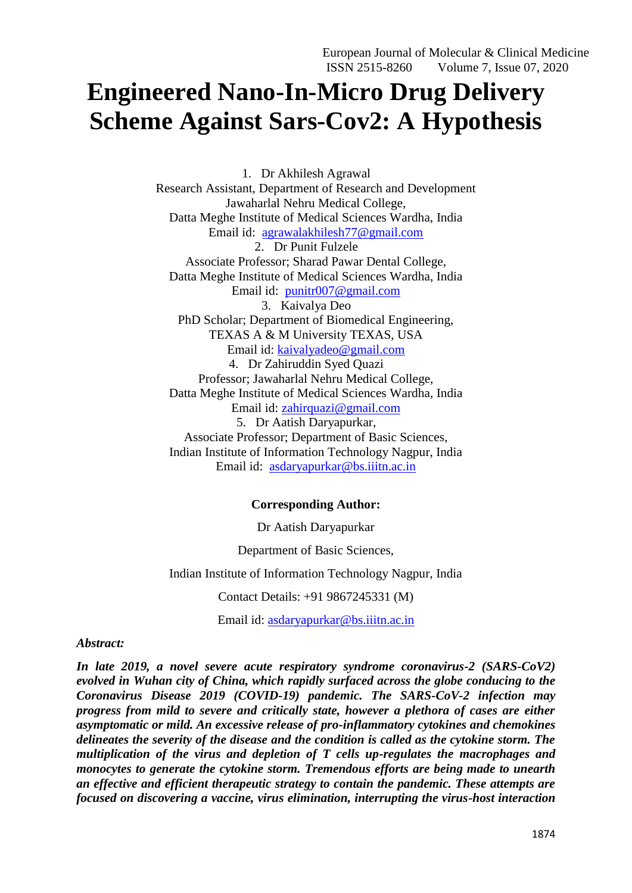# **Engineered Nano-In-Micro Drug Delivery Scheme Against Sars-Cov2: A Hypothesis**

1. Dr Akhilesh Agrawal Research Assistant, Department of Research and Development Jawaharlal Nehru Medical College, Datta Meghe Institute of Medical Sciences Wardha, India Email id: [agrawalakhilesh77@gmail.com](mailto:agrawalakhilesh77@gmail.com) 2. Dr Punit Fulzele Associate Professor; Sharad Pawar Dental College, Datta Meghe Institute of Medical Sciences Wardha, India Email id: [punitr007@gmail.com](mailto:punitr007@gmail.com) 3. Kaivalya Deo PhD Scholar; Department of Biomedical Engineering, TEXAS A & M University TEXAS, USA Email id: [kaivalyadeo@gmail.com](mailto:kaivalyadeo@gmail.com) 4. Dr Zahiruddin Syed Quazi Professor; Jawaharlal Nehru Medical College, Datta Meghe Institute of Medical Sciences Wardha, India Email id: [zahirquazi@gmail.com](mailto:zahirquazi@gmail.com) 5. Dr Aatish Daryapurkar, Associate Professor; Department of Basic Sciences, Indian Institute of Information Technology Nagpur, India Email id: [asdaryapurkar@bs.iiitn.ac.in](mailto:asdaryapurkar@bs.iiitn.ac.in)

## **Corresponding Author:**

Dr Aatish Daryapurkar

Department of Basic Sciences,

Indian Institute of Information Technology Nagpur, India

Contact Details: +91 9867245331 (M)

Email id: [asdaryapurkar@bs.iiitn.ac.in](mailto:asdaryapurkar@bs.iiitn.ac.in)

## *Abstract:*

*In late 2019, a novel severe acute respiratory syndrome coronavirus-2 (SARS-CoV2) evolved in Wuhan city of China, which rapidly surfaced across the globe conducing to the Coronavirus Disease 2019 (COVID-19) pandemic. The SARS-CoV-2 infection may progress from mild to severe and critically state, however a plethora of cases are either asymptomatic or mild. An excessive release of pro-inflammatory cytokines and chemokines delineates the severity of the disease and the condition is called as the cytokine storm. The multiplication of the virus and depletion of T cells up-regulates the macrophages and monocytes to generate the cytokine storm. Tremendous efforts are being made to unearth an effective and efficient therapeutic strategy to contain the pandemic. These attempts are focused on discovering a vaccine, virus elimination, interrupting the virus-host interaction*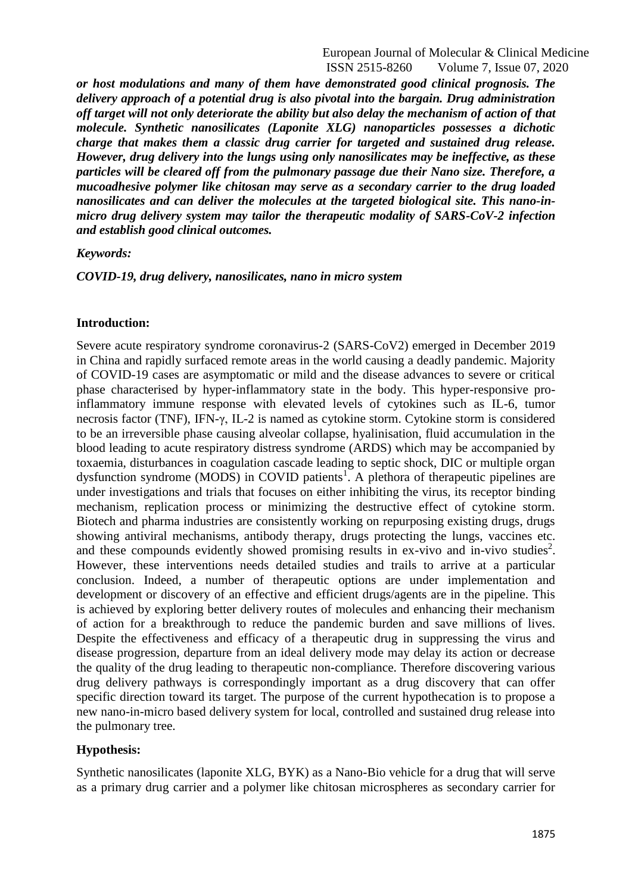European Journal of Molecular & Clinical Medicine ISSN 2515-8260 Volume 7, Issue 07, 2020

*or host modulations and many of them have demonstrated good clinical prognosis. The delivery approach of a potential drug is also pivotal into the bargain. Drug administration off target will not only deteriorate the ability but also delay the mechanism of action of that molecule. Synthetic nanosilicates (Laponite XLG) nanoparticles possesses a dichotic charge that makes them a classic drug carrier for targeted and sustained drug release. However, drug delivery into the lungs using only nanosilicates may be ineffective, as these particles will be cleared off from the pulmonary passage due their Nano size. Therefore, a mucoadhesive polymer like chitosan may serve as a secondary carrier to the drug loaded nanosilicates and can deliver the molecules at the targeted biological site. This nano-inmicro drug delivery system may tailor the therapeutic modality of SARS-CoV-2 infection and establish good clinical outcomes.*

*Keywords:*

*COVID-19, drug delivery, nanosilicates, nano in micro system*

### **Introduction:**

Severe acute respiratory syndrome coronavirus-2 (SARS-CoV2) emerged in December 2019 in China and rapidly surfaced remote areas in the world causing a deadly pandemic. Majority of COVID-19 cases are asymptomatic or mild and the disease advances to severe or critical phase characterised by hyper-inflammatory state in the body. This hyper-responsive proinflammatory immune response with elevated levels of cytokines such as IL-6, tumor necrosis factor (TNF), IFN-γ, IL-2 is named as cytokine storm. Cytokine storm is considered to be an irreversible phase causing alveolar collapse, hyalinisation, fluid accumulation in the blood leading to acute respiratory distress syndrome (ARDS) which may be accompanied by toxaemia, disturbances in coagulation cascade leading to septic shock, DIC or multiple organ dysfunction syndrome (MODS) in COVID patients<sup>1</sup>. A plethora of therapeutic pipelines are under investigations and trials that focuses on either inhibiting the virus, its receptor binding mechanism, replication process or minimizing the destructive effect of cytokine storm. Biotech and pharma industries are consistently working on repurposing existing drugs, drugs showing antiviral mechanisms, antibody therapy, drugs protecting the lungs, vaccines etc. and these compounds evidently showed promising results in ex-vivo and in-vivo studies<sup>2</sup>. However, these interventions needs detailed studies and trails to arrive at a particular conclusion. Indeed, a number of therapeutic options are under implementation and development or discovery of an effective and efficient drugs/agents are in the pipeline. This is achieved by exploring better delivery routes of molecules and enhancing their mechanism of action for a breakthrough to reduce the pandemic burden and save millions of lives. Despite the effectiveness and efficacy of a therapeutic drug in suppressing the virus and disease progression, departure from an ideal delivery mode may delay its action or decrease the quality of the drug leading to therapeutic non-compliance. Therefore discovering various drug delivery pathways is correspondingly important as a drug discovery that can offer specific direction toward its target. The purpose of the current hypothecation is to propose a new nano-in-micro based delivery system for local, controlled and sustained drug release into the pulmonary tree.

#### **Hypothesis:**

Synthetic nanosilicates (laponite XLG, BYK) as a Nano-Bio vehicle for a drug that will serve as a primary drug carrier and a polymer like chitosan microspheres as secondary carrier for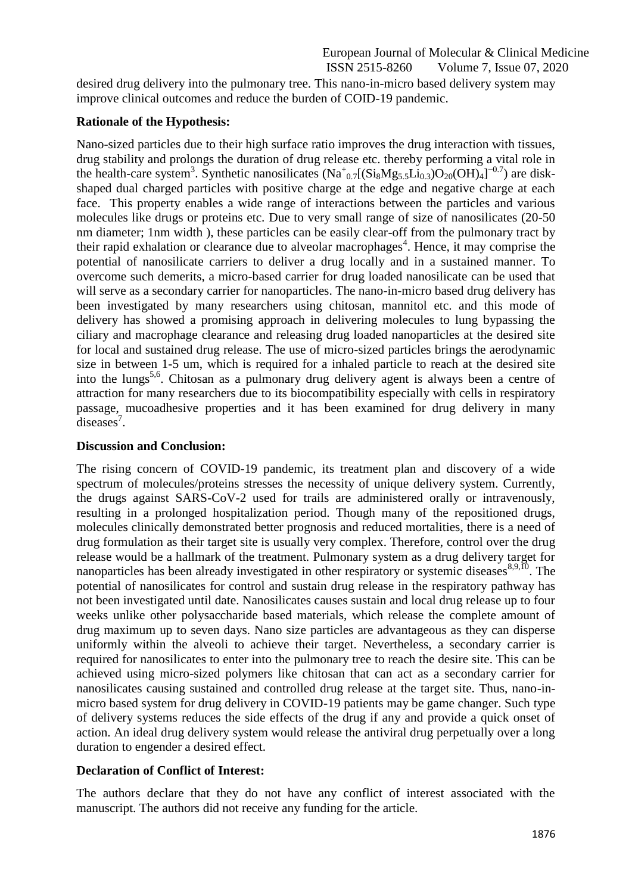desired drug delivery into the pulmonary tree. This nano-in-micro based delivery system may improve clinical outcomes and reduce the burden of COID-19 pandemic.

# **Rationale of the Hypothesis:**

Nano-sized particles due to their high surface ratio improves the drug interaction with tissues, drug stability and prolongs the duration of drug release etc. thereby performing a vital role in the health-care system<sup>3</sup>. Synthetic nanosilicates  $(Na_{0.7}^+(Si_8Mg_{5.5}Li_{0.3})O_{20}(OH)_4]^{-0.7}$  are diskshaped dual charged particles with positive charge at the edge and negative charge at each face. This property enables a wide range of interactions between the particles and various molecules like drugs or proteins etc. Due to very small range of size of nanosilicates (20-50 nm diameter; 1nm width ), these particles can be easily clear-off from the pulmonary tract by their rapid exhalation or clearance due to alveolar macrophages<sup>4</sup>. Hence, it may comprise the potential of nanosilicate carriers to deliver a drug locally and in a sustained manner. To overcome such demerits, a micro-based carrier for drug loaded nanosilicate can be used that will serve as a secondary carrier for nanoparticles. The nano-in-micro based drug delivery has been investigated by many researchers using chitosan, mannitol etc. and this mode of delivery has showed a promising approach in delivering molecules to lung bypassing the ciliary and macrophage clearance and releasing drug loaded nanoparticles at the desired site for local and sustained drug release. The use of micro-sized particles brings the aerodynamic size in between 1-5 um, which is required for a inhaled particle to reach at the desired site into the lungs<sup>5,6</sup>. Chitosan as a pulmonary drug delivery agent is always been a centre of attraction for many researchers due to its biocompatibility especially with cells in respiratory passage, mucoadhesive properties and it has been examined for drug delivery in many  $\overline{\text{diseases}}^7$ .

# **Discussion and Conclusion:**

The rising concern of COVID-19 pandemic, its treatment plan and discovery of a wide spectrum of molecules/proteins stresses the necessity of unique delivery system. Currently, the drugs against SARS-CoV-2 used for trails are administered orally or intravenously, resulting in a prolonged hospitalization period. Though many of the repositioned drugs, molecules clinically demonstrated better prognosis and reduced mortalities, there is a need of drug formulation as their target site is usually very complex. Therefore, control over the drug release would be a hallmark of the treatment. Pulmonary system as a drug delivery target for nanoparticles has been already investigated in other respiratory or systemic diseases $8,9,10$ . The potential of nanosilicates for control and sustain drug release in the respiratory pathway has not been investigated until date. Nanosilicates causes sustain and local drug release up to four weeks unlike other polysaccharide based materials, which release the complete amount of drug maximum up to seven days. Nano size particles are advantageous as they can disperse uniformly within the alveoli to achieve their target. Nevertheless, a secondary carrier is required for nanosilicates to enter into the pulmonary tree to reach the desire site. This can be achieved using micro-sized polymers like chitosan that can act as a secondary carrier for nanosilicates causing sustained and controlled drug release at the target site. Thus, nano-inmicro based system for drug delivery in COVID-19 patients may be game changer. Such type of delivery systems reduces the side effects of the drug if any and provide a quick onset of action. An ideal drug delivery system would release the antiviral drug perpetually over a long duration to engender a desired effect.

# **Declaration of Conflict of Interest:**

The authors declare that they do not have any conflict of interest associated with the manuscript. The authors did not receive any funding for the article.